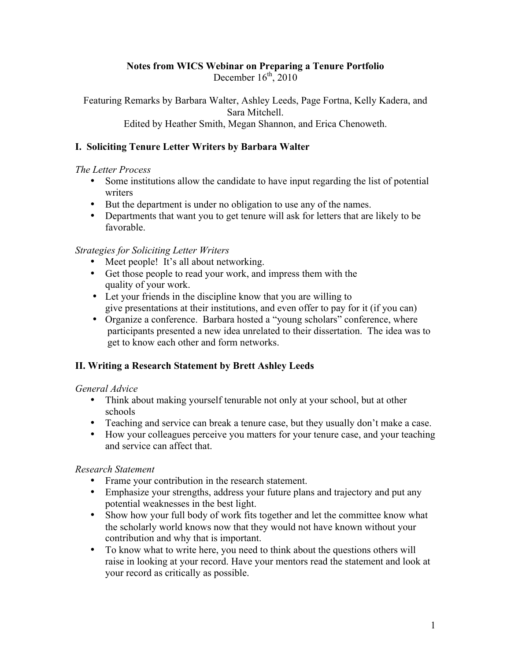# **Notes from WICS Webinar on Preparing a Tenure Portfolio**

December  $16^{th}$ , 2010

Featuring Remarks by Barbara Walter, Ashley Leeds, Page Fortna, Kelly Kadera, and Sara Mitchell. Edited by Heather Smith, Megan Shannon, and Erica Chenoweth.

## **I. Soliciting Tenure Letter Writers by Barbara Walter**

### *The Letter Process*

- Some institutions allow the candidate to have input regarding the list of potential writers
- But the department is under no obligation to use any of the names.
- Departments that want you to get tenure will ask for letters that are likely to be favorable.

## *Strategies for Soliciting Letter Writers*

- Meet people! It's all about networking.
- Get those people to read your work, and impress them with the quality of your work.
- Let your friends in the discipline know that you are willing to give presentations at their institutions, and even offer to pay for it (if you can)
- Organize a conference. Barbara hosted a "young scholars" conference, where participants presented a new idea unrelated to their dissertation. The idea was to get to know each other and form networks.

## **II. Writing a Research Statement by Brett Ashley Leeds**

## *General Advice*

- Think about making yourself tenurable not only at your school, but at other schools
- Teaching and service can break a tenure case, but they usually don't make a case.
- How your colleagues perceive you matters for your tenure case, and your teaching and service can affect that.

## *Research Statement*

- Frame your contribution in the research statement.
- Emphasize your strengths, address your future plans and trajectory and put any potential weaknesses in the best light.
- Show how your full body of work fits together and let the committee know what the scholarly world knows now that they would not have known without your contribution and why that is important.
- To know what to write here, you need to think about the questions others will raise in looking at your record. Have your mentors read the statement and look at your record as critically as possible.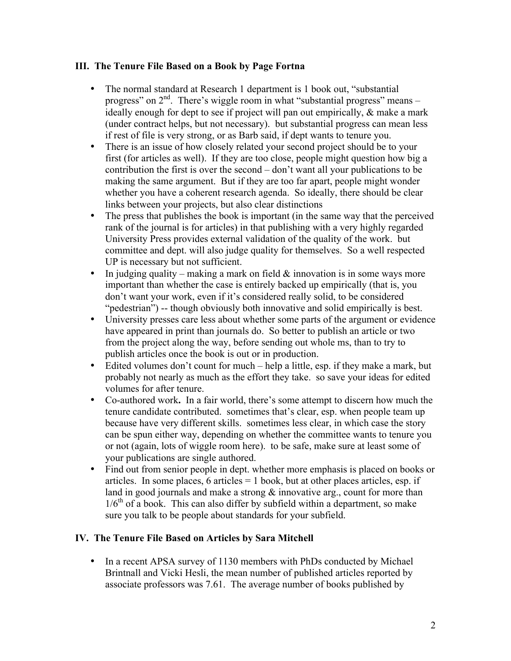## **III. The Tenure File Based on a Book by Page Fortna**

- The normal standard at Research 1 department is 1 book out, "substantial" progress" on  $2<sup>nd</sup>$ . There's wiggle room in what "substantial progress" means – ideally enough for dept to see if project will pan out empirically, & make a mark (under contract helps, but not necessary). but substantial progress can mean less if rest of file is very strong, or as Barb said, if dept wants to tenure you.
- There is an issue of how closely related your second project should be to your first (for articles as well). If they are too close, people might question how big a contribution the first is over the second – don't want all your publications to be making the same argument. But if they are too far apart, people might wonder whether you have a coherent research agenda. So ideally, there should be clear links between your projects, but also clear distinctions
- The press that publishes the book is important (in the same way that the perceived rank of the journal is for articles) in that publishing with a very highly regarded University Press provides external validation of the quality of the work. but committee and dept. will also judge quality for themselves. So a well respected UP is necessary but not sufficient.
- In judging quality making a mark on field  $&$  innovation is in some ways more important than whether the case is entirely backed up empirically (that is, you don't want your work, even if it's considered really solid, to be considered "pedestrian") -- though obviously both innovative and solid empirically is best.
- University presses care less about whether some parts of the argument or evidence have appeared in print than journals do. So better to publish an article or two from the project along the way, before sending out whole ms, than to try to publish articles once the book is out or in production.
- Edited volumes don't count for much help a little, esp. if they make a mark, but probably not nearly as much as the effort they take. so save your ideas for edited volumes for after tenure.
- Co-authored work**.** In a fair world, there's some attempt to discern how much the tenure candidate contributed. sometimes that's clear, esp. when people team up because have very different skills. sometimes less clear, in which case the story can be spun either way, depending on whether the committee wants to tenure you or not (again, lots of wiggle room here). to be safe, make sure at least some of your publications are single authored.
- Find out from senior people in dept. whether more emphasis is placed on books or articles. In some places,  $6$  articles  $= 1$  book, but at other places articles, esp. if land in good journals and make a strong  $\&$  innovative arg., count for more than  $1/6<sup>th</sup>$  of a book. This can also differ by subfield within a department, so make sure you talk to be people about standards for your subfield.

## **IV. The Tenure File Based on Articles by Sara Mitchell**

• In a recent APSA survey of 1130 members with PhDs conducted by Michael Brintnall and Vicki Hesli, the mean number of published articles reported by associate professors was 7.61. The average number of books published by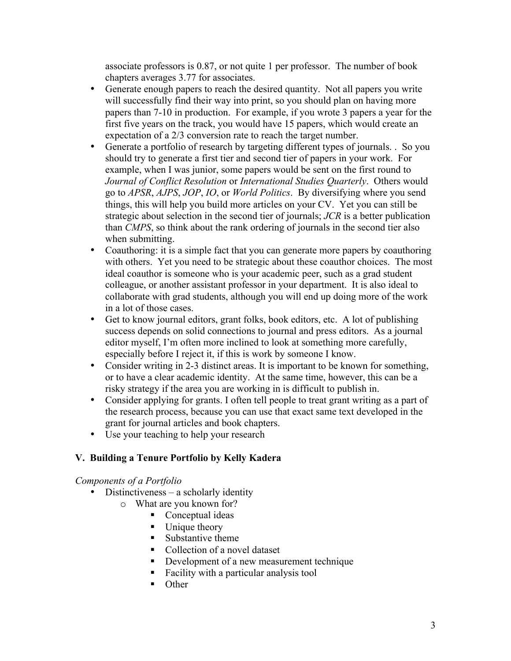associate professors is 0.87, or not quite 1 per professor. The number of book chapters averages 3.77 for associates.

- Generate enough papers to reach the desired quantity. Not all papers you write will successfully find their way into print, so you should plan on having more papers than 7-10 in production. For example, if you wrote 3 papers a year for the first five years on the track, you would have 15 papers, which would create an expectation of a 2/3 conversion rate to reach the target number.
- Generate a portfolio of research by targeting different types of journals. . So you should try to generate a first tier and second tier of papers in your work. For example, when I was junior, some papers would be sent on the first round to *Journal of Conflict Resolution* or *International Studies Quarterly*. Others would go to *APSR*, *AJPS*, *JOP*, *IO*, or *World Politics*. By diversifying where you send things, this will help you build more articles on your CV. Yet you can still be strategic about selection in the second tier of journals; *JCR* is a better publication than *CMPS*, so think about the rank ordering of journals in the second tier also when submitting.
- Coauthoring: it is a simple fact that you can generate more papers by coauthoring with others. Yet you need to be strategic about these coauthor choices. The most ideal coauthor is someone who is your academic peer, such as a grad student colleague, or another assistant professor in your department. It is also ideal to collaborate with grad students, although you will end up doing more of the work in a lot of those cases.
- Get to know journal editors, grant folks, book editors, etc. A lot of publishing success depends on solid connections to journal and press editors. As a journal editor myself, I'm often more inclined to look at something more carefully, especially before I reject it, if this is work by someone I know.
- Consider writing in 2-3 distinct areas. It is important to be known for something, or to have a clear academic identity. At the same time, however, this can be a risky strategy if the area you are working in is difficult to publish in.
- Consider applying for grants. I often tell people to treat grant writing as a part of the research process, because you can use that exact same text developed in the grant for journal articles and book chapters.
- Use your teaching to help your research

# **V. Building a Tenure Portfolio by Kelly Kadera**

## *Components of a Portfolio*

- Distinctiveness a scholarly identity
	- o What are you known for?
		- Conceptual ideas
		- Unique theory
		- Substantive theme
		- Collection of a novel dataset
		- Development of a new measurement technique
		- Facility with a particular analysis tool
		- **Other**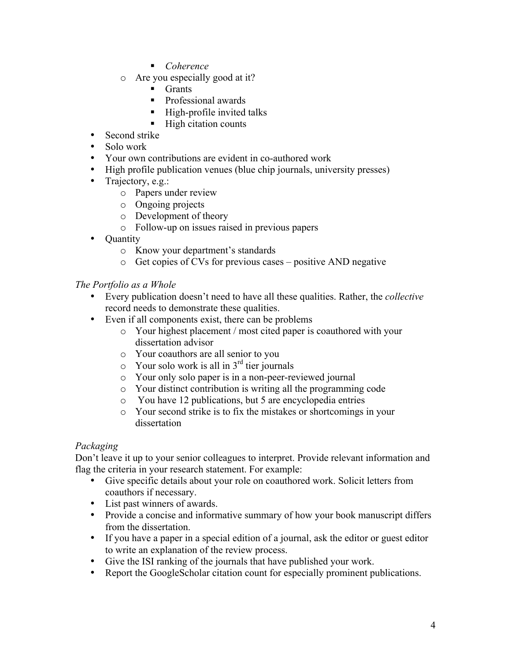- *Coherence*
- o Are you especially good at it?
	- $\blacksquare$  Grants
	- **Professional awards**
	- $\blacksquare$  High-profile invited talks
	- $\blacksquare$  High citation counts
- Second strike
- Solo work
- Your own contributions are evident in co-authored work
- High profile publication venues (blue chip journals, university presses)
- Trajectory, e.g.:
	- o Papers under review
	- o Ongoing projects
	- o Development of theory
	- o Follow-up on issues raised in previous papers
- **Quantity** 
	- o Know your department's standards
	- o Get copies of CVs for previous cases positive AND negative

# *The Portfolio as a Whole*

- Every publication doesn't need to have all these qualities. Rather, the *collective* record needs to demonstrate these qualities.
- Even if all components exist, there can be problems
	- o Your highest placement / most cited paper is coauthored with your dissertation advisor
	- o Your coauthors are all senior to you
	- $\circ$  Your solo work is all in 3<sup>rd</sup> tier journals
	- o Your only solo paper is in a non-peer-reviewed journal
	- o Your distinct contribution is writing all the programming code
	- o You have 12 publications, but 5 are encyclopedia entries
	- o Your second strike is to fix the mistakes or shortcomings in your dissertation

# *Packaging*

Don't leave it up to your senior colleagues to interpret. Provide relevant information and flag the criteria in your research statement. For example:

- Give specific details about your role on coauthored work. Solicit letters from coauthors if necessary.
- List past winners of awards.
- Provide a concise and informative summary of how your book manuscript differs from the dissertation.
- If you have a paper in a special edition of a journal, ask the editor or guest editor to write an explanation of the review process.
- Give the ISI ranking of the journals that have published your work.
- Report the GoogleScholar citation count for especially prominent publications.